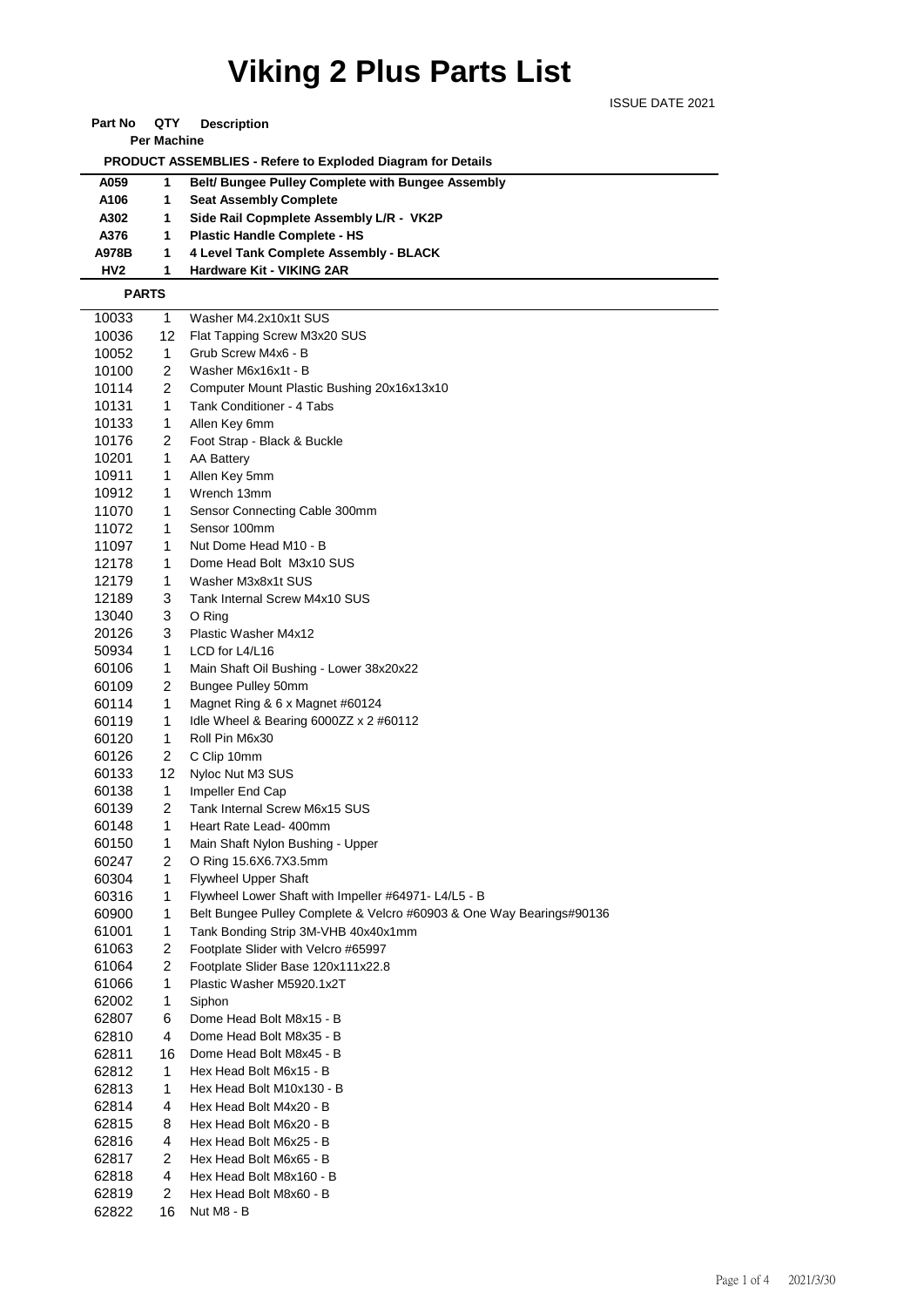## **Viking 2 Plus Parts List**

ISSUE DATE 2021

**Part No QTY Description** 

**Per Machine**

 **PRODUCT ASSEMBLIES - Refere to Exploded Diagram for Details** 

| A059  | <b>Belt/ Bungee Pulley Complete with Bungee Assembly</b> |
|-------|----------------------------------------------------------|
| A106  | <b>Seat Assembly Complete</b>                            |
| A302  | Side Rail Copmplete Assembly L/R - VK2P                  |
| A376  | <b>Plastic Handle Complete - HS</b>                      |
| A978B | 4 Level Tank Complete Assembly - BLACK                   |
| HV2   | Hardware Kit - VIKING 2AR                                |

## **PARTS**

| 10033          | 1              | Washer M4.2x10x1t SUS                                                |
|----------------|----------------|----------------------------------------------------------------------|
| 10036          | 12             | Flat Tapping Screw M3x20 SUS                                         |
| 10052          | 1              | Grub Screw M4x6 - B                                                  |
| 10100          | 2              | Washer M6x16x1t - B                                                  |
| 10114          | 2              | Computer Mount Plastic Bushing 20x16x13x10                           |
| 10131          | 1              | Tank Conditioner - 4 Tabs                                            |
| 10133          | 1              | Allen Key 6mm                                                        |
| 10176          | $\overline{c}$ | Foot Strap - Black & Buckle                                          |
| 10201          | 1              | AA Battery                                                           |
| 10911          | 1              | Allen Key 5mm                                                        |
| 10912          | 1              | Wrench 13mm                                                          |
| 11070          | 1              | Sensor Connecting Cable 300mm                                        |
| 11072          | 1              | Sensor 100mm                                                         |
| 11097          | 1              | Nut Dome Head M10 - B                                                |
| 12178          | 1              | Dome Head Bolt M3x10 SUS                                             |
| 12179          | 1              | Washer M3x8x1t SUS                                                   |
| 12189          | 3              | Tank Internal Screw M4x10 SUS                                        |
| 13040          | 3              | O Ring                                                               |
| 20126          | 3              | Plastic Washer M4x12                                                 |
| 50934          | 1              | LCD for L4/L16                                                       |
| 60106          | 1              | Main Shaft Oil Bushing - Lower 38x20x22                              |
| 60109          | 2              | Bungee Pulley 50mm                                                   |
| 60114          | $\mathbf{1}$   | Magnet Ring & 6 x Magnet #60124                                      |
| 60119          | 1              | Idle Wheel & Bearing 6000ZZ $\times$ 2 #60112                        |
| 60120          | 1              | Roll Pin M6x30                                                       |
| 60126          | 2              | C Clip 10mm                                                          |
| 60133          | 12             | Nyloc Nut M3 SUS                                                     |
| 60138          | 1              | Impeller End Cap                                                     |
| 60139          | 2              | Tank Internal Screw M6x15 SUS                                        |
| 60148          | 1              | Heart Rate Lead- 400mm                                               |
| 60150          | 1              | Main Shaft Nylon Bushing - Upper                                     |
| 60247          | 2              | O Ring 15.6X6.7X3.5mm                                                |
| 60304          | 1              | <b>Flywheel Upper Shaft</b>                                          |
| 60316          | 1              | Flywheel Lower Shaft with Impeller #64971- L4/L5 - B                 |
| 60900          | 1              | Belt Bungee Pulley Complete & Velcro #60903 & One Way Bearings#90136 |
| 61001          | 1              | Tank Bonding Strip 3M-VHB 40x40x1mm                                  |
|                | 2              | Footplate Slider with Velcro #65997                                  |
| 61063<br>61064 | 2              | Footplate Slider Base 120x111x22.8                                   |
| 61066          | 1              | Plastic Washer M5920.1x2T                                            |
| 62002          | $\mathbf{1}$   |                                                                      |
| 62807          |                | Siphon                                                               |
|                | 6              | Dome Head Bolt M8x15 - B                                             |
| 62810          | 4              | Dome Head Bolt M8x35 - B                                             |
| 62811          | 16             | Dome Head Bolt M8x45 - B                                             |
| 62812          | 1              | Hex Head Bolt M6x15 - B                                              |
| 62813          | 1              | Hex Head Bolt M10x130 - B                                            |
| 62814          | 4              | Hex Head Bolt M4x20 - B                                              |
| 62815          | 8              | Hex Head Bolt M6x20 - B                                              |
| 62816          | 4              | Hex Head Bolt M6x25 - B                                              |
| 62817          | 2              | Hex Head Bolt M6x65 - B                                              |
| 62818          | 4              | Hex Head Bolt M8x160 - B                                             |
| 62819          | 2              | Hex Head Bolt M8x60 - B                                              |
| 62822          | 16             | Nut M8 - B                                                           |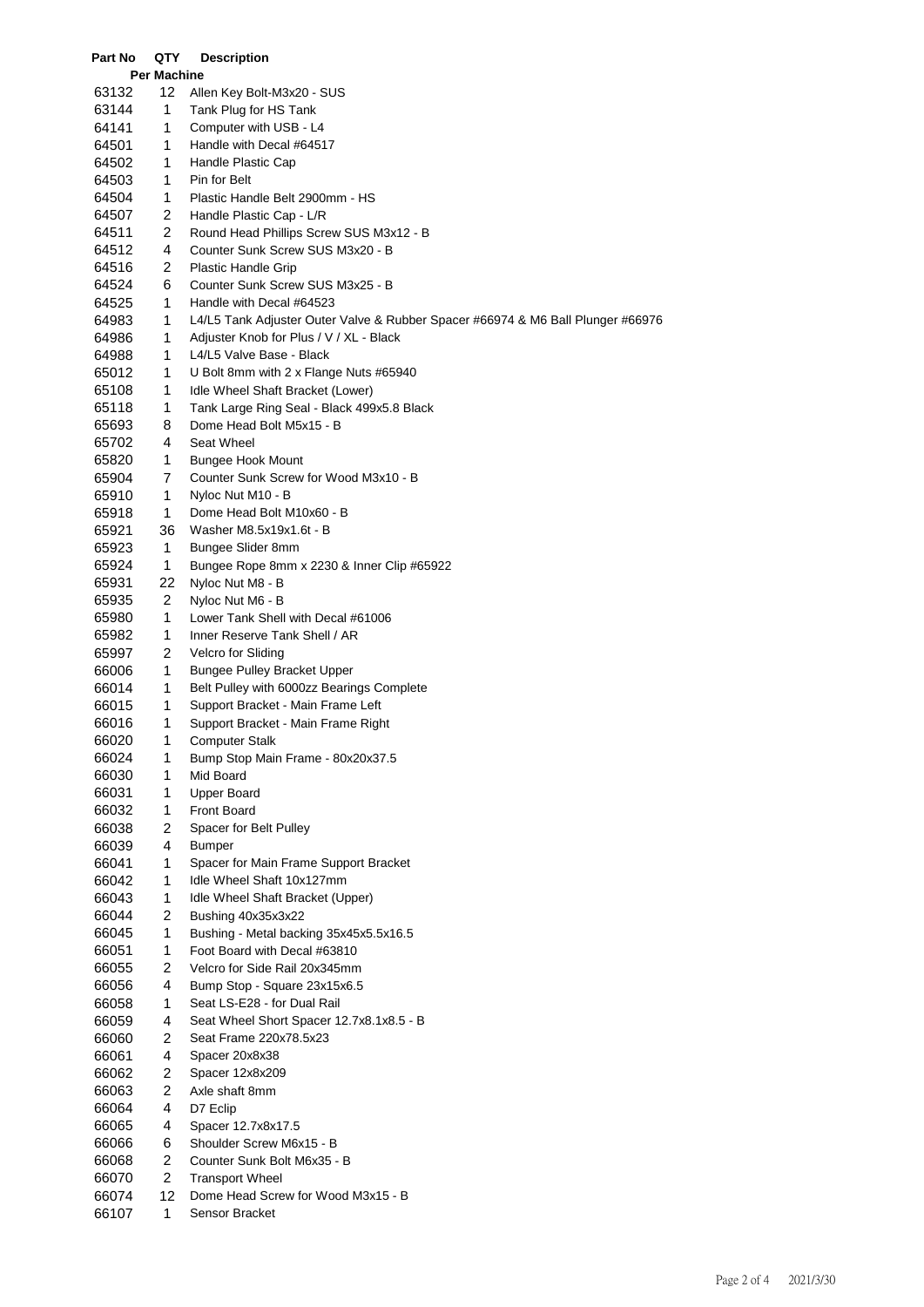| Part No        | QTY                | <b>Description</b>                                                              |
|----------------|--------------------|---------------------------------------------------------------------------------|
|                | <b>Per Machine</b> |                                                                                 |
| 63132          | 12                 | Allen Key Bolt-M3x20 - SUS                                                      |
| 63144          | 1                  | Tank Plug for HS Tank                                                           |
| 64141          | 1                  | Computer with USB - L4                                                          |
| 64501          | 1                  | Handle with Decal #64517                                                        |
| 64502          | 1                  | Handle Plastic Cap                                                              |
| 64503          | 1                  | Pin for Belt                                                                    |
| 64504          | 1                  | Plastic Handle Belt 2900mm - HS                                                 |
| 64507          | 2                  | Handle Plastic Cap - L/R                                                        |
| 64511          | 2                  | Round Head Phillips Screw SUS M3x12 - B                                         |
| 64512          | 4                  | Counter Sunk Screw SUS M3x20 - B                                                |
| 64516          | 2                  | Plastic Handle Grip                                                             |
| 64524          | 6                  | Counter Sunk Screw SUS M3x25 - B                                                |
| 64525          | 1                  | Handle with Decal #64523                                                        |
| 64983          | 1                  | L4/L5 Tank Adjuster Outer Valve & Rubber Spacer #66974 & M6 Ball Plunger #66976 |
| 64986          | 1                  | Adjuster Knob for Plus / V / XL - Black                                         |
| 64988          | 1                  | L4/L5 Valve Base - Black                                                        |
| 65012          | 1                  | U Bolt 8mm with 2 x Flange Nuts #65940                                          |
| 65108          | 1                  | Idle Wheel Shaft Bracket (Lower)                                                |
| 65118          | 1                  | Tank Large Ring Seal - Black 499x5.8 Black                                      |
| 65693          | 8                  | Dome Head Bolt M5x15 - B                                                        |
| 65702          | 4                  | Seat Wheel                                                                      |
| 65820          | 1                  | <b>Bungee Hook Mount</b>                                                        |
| 65904          | 7                  | Counter Sunk Screw for Wood M3x10 - B                                           |
| 65910          | 1                  | Nyloc Nut M10 - B                                                               |
| 65918          | 1                  | Dome Head Bolt M10x60 - B                                                       |
| 65921          | 36                 | Washer M8.5x19x1.6t - B                                                         |
| 65923          | 1                  | Bungee Slider 8mm                                                               |
| 65924          | 1                  | Bungee Rope 8mm x 2230 & Inner Clip #65922                                      |
| 65931          | 22                 | Nyloc Nut M8 - B                                                                |
| 65935          | 2                  | Nyloc Nut M6 - B                                                                |
| 65980          | 1                  | Lower Tank Shell with Decal #61006                                              |
| 65982          | 1                  | Inner Reserve Tank Shell / AR                                                   |
| 65997          | 2                  | Velcro for Sliding                                                              |
| 66006          | 1                  | <b>Bungee Pulley Bracket Upper</b>                                              |
| 66014          | 1                  | Belt Pulley with 6000zz Bearings Complete                                       |
| 66015          | 1                  | Support Bracket - Main Frame Left                                               |
| 66016          | 1                  | Support Bracket - Main Frame Right                                              |
| 66020          | 1.                 | Computer Stalk                                                                  |
| 66024          | 1                  | Bump Stop Main Frame - 80x20x37.5                                               |
| 66030          | 1                  | Mid Board                                                                       |
| 66031<br>66032 | 1<br>1             | Upper Board<br>Front Board                                                      |
| 66038          | 2                  | Spacer for Belt Pulley                                                          |
| 66039          | 4                  | <b>Bumper</b>                                                                   |
| 66041          | 1                  | Spacer for Main Frame Support Bracket                                           |
| 66042          | 1                  | Idle Wheel Shaft 10x127mm                                                       |
| 66043          | 1                  | Idle Wheel Shaft Bracket (Upper)                                                |
| 66044          | 2                  | Bushing 40x35x3x22                                                              |
| 66045          | 1                  | Bushing - Metal backing 35x45x5.5x16.5                                          |
| 66051          | 1                  | Foot Board with Decal #63810                                                    |
| 66055          | 2                  | Velcro for Side Rail 20x345mm                                                   |
| 66056          | 4                  | Bump Stop - Square 23x15x6.5                                                    |
| 66058          | 1                  | Seat LS-E28 - for Dual Rail                                                     |
| 66059          | 4                  | Seat Wheel Short Spacer 12.7x8.1x8.5 - B                                        |
| 66060          | 2                  | Seat Frame 220x78.5x23                                                          |
| 66061          | 4                  | Spacer 20x8x38                                                                  |
| 66062          | 2                  | Spacer 12x8x209                                                                 |
| 66063          | 2                  | Axle shaft 8mm                                                                  |
| 66064          | 4                  | D7 Eclip                                                                        |
| 66065          | 4                  | Spacer 12.7x8x17.5                                                              |
| 66066          | 6                  | Shoulder Screw M6x15 - B                                                        |
| 66068          | $\overline{c}$     | Counter Sunk Bolt M6x35 - B                                                     |
| 66070          | $\overline{2}$     | <b>Transport Wheel</b>                                                          |
| 66074          | 12                 | Dome Head Screw for Wood M3x15 - B                                              |
| 66107          | 1                  | Sensor Bracket                                                                  |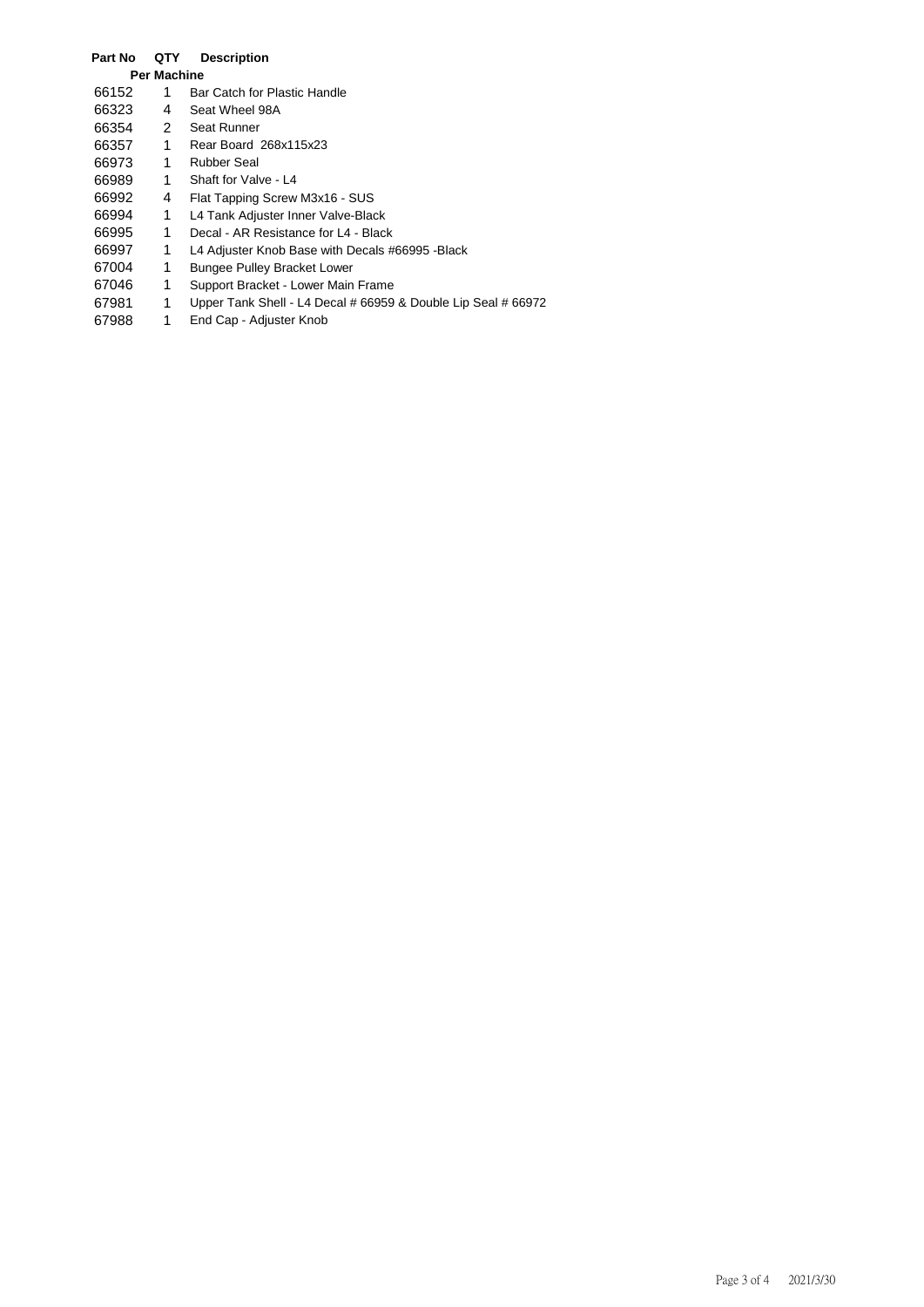## **Part No QTY Description Per Machine** 66152 1 Bar Catch for Plastic Handle<br>66323 4 Seat Wheel 98A 66323 4 Seat Wheel 98A 66354 2 Seat Runner<br>66357 1 Rear Board 66357 1 Rear Board 268x115x23 1 Rubber Seal 66989 1 Shaft for Valve - L4 66992 4 Flat Tapping Screw M3x16 - SUS 66994 1 L4 Tank Adjuster Inner Valve-Black 66995 1 Decal - AR Resistance for L4 - Black 66997 1 L4 Adjuster Knob Base with Decals #66995 -Black 67004 1 Bungee Pulley Bracket Lower<br>67046 1 Support Bracket - Lower Main 67046 1 Support Bracket - Lower Main Frame<br>67981 1 Upper Tank Shell - L4 Decal # 66959 1 Upper Tank Shell - L4 Decal # 66959 & Double Lip Seal # 66972 67988 1 End Cap - Adjuster Knob